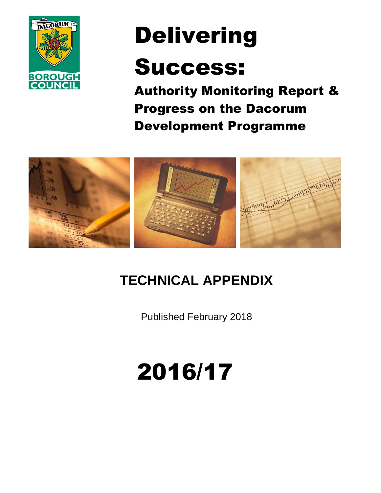

# Delivering

# Success:

Authority Monitoring Report & Progress on the Dacorum Development Programme



# **TECHNICAL APPENDIX**

Published February 2018

# 2016/17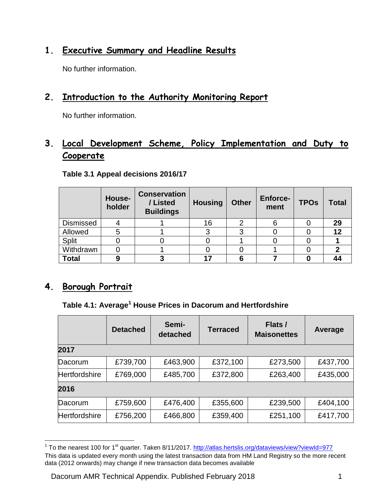## **1. Executive Summary and Headline Results**

No further information.

# **2. Introduction to the Authority Monitoring Report**

No further information.

# **3. Local Development Scheme, Policy Implementation and Duty to Cooperate**

|                  | House-<br>holder | <b>Conservation</b><br>/ Listed<br><b>Buildings</b> | <b>Housing</b> | <b>Other</b> | <b>Enforce-</b><br>ment | <b>TPOs</b> | <b>Total</b> |
|------------------|------------------|-----------------------------------------------------|----------------|--------------|-------------------------|-------------|--------------|
| <b>Dismissed</b> |                  |                                                     | 16             | ◠            |                         |             | 29           |
| Allowed          |                  |                                                     | っ              | ◠            |                         |             | 12           |
| <b>Split</b>     |                  |                                                     |                |              |                         |             |              |
| Withdrawn        |                  |                                                     |                |              |                         |             |              |
| <b>Total</b>     |                  |                                                     | 17             | 6            |                         |             |              |

**Table 3.1 Appeal decisions 2016/17**

#### **4. Borough Portrait**

#### **Table 4.1: Average<sup>1</sup> House Prices in Dacorum and Hertfordshire**

|                      | <b>Detached</b> | Semi-<br>detached | <b>Terraced</b> | Flats /<br><b>Maisonettes</b> | Average  |
|----------------------|-----------------|-------------------|-----------------|-------------------------------|----------|
| 2017                 |                 |                   |                 |                               |          |
| Dacorum              | £739,700        | £463,900          | £372,100        | £273,500                      | £437,700 |
| <b>Hertfordshire</b> | £769,000        | £485,700          | £372,800        | £263,400                      | £435,000 |
| 2016                 |                 |                   |                 |                               |          |
| Dacorum              | £759,600        | £476,400          | £355,600        | £239,500                      | £404,100 |
| <b>Hertfordshire</b> | £756,200        | £466,800          | £359,400        | £251,100                      | £417,700 |

 1 To the nearest 100 for 1st quarter. Taken 8/11/2017.<http://atlas.hertslis.org/dataviews/view?viewId=977> This data is updated every month using the latest transaction data from HM Land Registry so the more recent data (2012 onwards) may change if new transaction data becomes available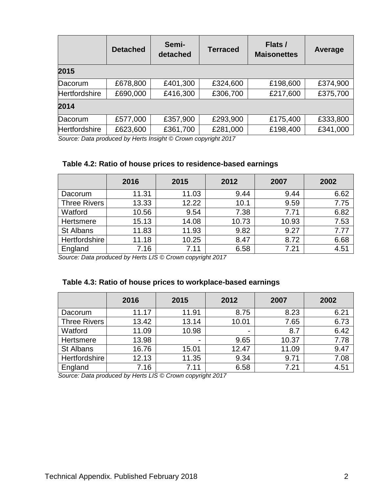|                      | <b>Detached</b> | Semi-<br>detached | <b>Terraced</b> | Flats /<br><b>Maisonettes</b> | Average  |
|----------------------|-----------------|-------------------|-----------------|-------------------------------|----------|
| 2015                 |                 |                   |                 |                               |          |
| Dacorum              | £678,800        | £401,300          | £324,600        | £198,600                      | £374,900 |
| <b>Hertfordshire</b> | £690,000        | £416,300          | £306,700        | £217,600                      | £375,700 |
| 2014                 |                 |                   |                 |                               |          |
| Dacorum              | £577,000        | £357,900          | £293,900        | £175,400                      | £333,800 |
| <b>Hertfordshire</b> | £623,600        | £361,700          | £281,000        | £198,400                      | £341,000 |

*Source: Data produced by Herts Insight © Crown copyright 2017*

#### **Table 4.2: Ratio of house prices to residence-based earnings**

|                     | 2016  | 2015  | 2012  | 2007  | 2002 |
|---------------------|-------|-------|-------|-------|------|
| Dacorum             | 11.31 | 11.03 | 9.44  | 9.44  | 6.62 |
| <b>Three Rivers</b> | 13.33 | 12.22 | 10.1  | 9.59  | 7.75 |
| Watford             | 10.56 | 9.54  | 7.38  | 7.71  | 6.82 |
| Hertsmere           | 15.13 | 14.08 | 10.73 | 10.93 | 7.53 |
| St Albans           | 11.83 | 11.93 | 9.82  | 9.27  | 7.77 |
| Hertfordshire       | 11.18 | 10.25 | 8.47  | 8.72  | 6.68 |
| England             | 7.16  | 7.11  | 6.58  | 7.21  | 4.51 |

*Source: Data produced by Herts LIS © Crown copyright 2017* 

#### **Table 4.3: Ratio of house prices to workplace-based earnings**

|                     | 2016  | 2015           | 2012           | 2007  | 2002 |
|---------------------|-------|----------------|----------------|-------|------|
| Dacorum             | 11.17 | 11.91          | 8.75           | 8.23  | 6.21 |
| <b>Three Rivers</b> | 13.42 | 13.14          | 10.01          | 7.65  | 6.73 |
| Watford             | 11.09 | 10.98          | $\blacksquare$ | 8.7   | 6.42 |
| Hertsmere           | 13.98 | $\blacksquare$ | 9.65           | 10.37 | 7.78 |
| St Albans           | 16.76 | 15.01          | 12.47          | 11.09 | 9.47 |
| Hertfordshire       | 12.13 | 11.35          | 9.34           | 9.71  | 7.08 |
| England             | 7.16  | 7.11           | 6.58           | 7.21  | 4.51 |

*Source: Data produced by Herts LIS © Crown copyright 2017*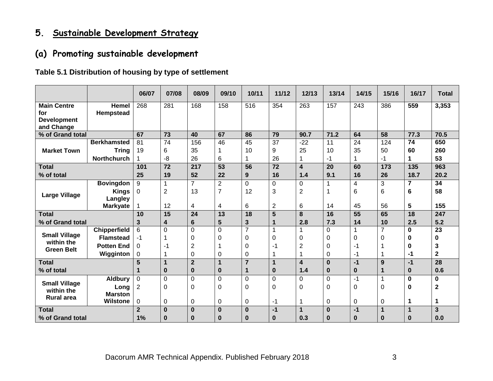# **5. Sustainable Development Strategy**

# **(a) Promoting sustainable development**

#### **Table 5.1 Distribution of housing by type of settlement**

|                                                               |                           | 06/07           | 07/08           | 08/09          | 09/10           | 10/11           | 11/12 | 12/13                   | 13/14           | 14/15            | 15/16                    | 16/17            | <b>Total</b>    |
|---------------------------------------------------------------|---------------------------|-----------------|-----------------|----------------|-----------------|-----------------|-------|-------------------------|-----------------|------------------|--------------------------|------------------|-----------------|
| <b>Main Centre</b><br>for<br><b>Development</b><br>and Change | <b>Hemel</b><br>Hempstead | 268             | 281             | 168            | 158             | 516             | 354   | 263                     | 157             | 243              | 386                      | 559              | 3,353           |
| % of Grand total                                              |                           | 67              | $\overline{73}$ | 40             | 67              | 86              | 79    | 90.7                    | 71.2            | 64               | $\overline{58}$          | 77.3             | 70.5            |
|                                                               | <b>Berkhamsted</b>        | 81              | 74              | 156            | 46              | 45              | 37    | $-22$                   | 11              | 24               | 124                      | 74               | 650             |
| <b>Market Town</b>                                            | <b>Tring</b>              | 19              | 6               | 35             | 1               | 10              | 9     | 25                      | 10              | 35               | 50                       | 60               | 260             |
|                                                               | <b>Northchurch</b>        |                 | -8              | 26             | 6               |                 | 26    |                         | -1              |                  | $-1$                     | 1                | 53              |
| <b>Total</b>                                                  |                           | 101             | $\overline{72}$ | 217            | $\overline{53}$ | $\overline{56}$ | 72    | $\overline{\mathbf{4}}$ | $\overline{20}$ | 60               | $\overline{173}$         | 135              | 963             |
| % of total                                                    |                           | 25              | 19              | 52             | 22              | 9               | 16    | 1.4                     | 9.1             | 16               | 26                       | 18.7             | 20.2            |
|                                                               | <b>Bovingdon</b>          | 9               | 1               | $\overline{7}$ | $\overline{2}$  | $\Omega$        | 0     | $\Omega$                |                 | $\overline{4}$   | 3                        | 7                | 34              |
| <b>Large Village</b>                                          | <b>Kings</b><br>Langley   | 0               | $\overline{c}$  | 13             | $\overline{7}$  | 12              | 3     | $\overline{2}$          |                 | 6                | 6                        | 6                | 58              |
|                                                               | <b>Markyate</b>           |                 | 12              | 4              | 4               | 6               | 2     | 6                       | 14              | 45               | 56                       | 5                | 155             |
| <b>Total</b>                                                  |                           | 10              | 15              | 24             | 13              | 18              | 5     | 8                       | 16              | $\overline{55}$  | 65                       | 18               | 247             |
| % of Grand total                                              |                           | 3               | 4               | 6              | 5               | 3               | 1     | 2.8                     | 7.3             | 14               | 10                       | 2.5              | 5.2             |
| <b>Small Village</b>                                          | <b>Chipperfield</b>       | $6\phantom{1}6$ | $\Omega$        | $\Omega$       | $\overline{0}$  | $\overline{7}$  | 1     |                         | $\Omega$        | 1                | $\overline{7}$           | $\bf{0}$         | $\overline{23}$ |
| within the                                                    | <b>Flamstead</b>          | -1              |                 | $\Omega$       | 0               | 0               | 0     | 0                       | 0               | 0                | $\Omega$                 | 0                | $\bf{0}$        |
| <b>Green Belt</b>                                             | <b>Potten End</b>         | $\Omega$        | -1              | 2              | 1               | 0               | -1    | $\overline{2}$          | $\Omega$        | -1               |                          | 0                | 3               |
|                                                               | Wigginton                 | 0               |                 | $\Omega$       | 0               | 0               | 1     |                         | 0               | -1               |                          | $-1$             | $\mathbf{2}$    |
| <b>Total</b>                                                  |                           | 5               | $\mathbf 1$     | $\overline{2}$ | 1               | $\overline{7}$  | 1     | $\overline{\mathbf{4}}$ | $\bf{0}$        | $-1$             | 9                        | $-1$             | 28              |
| % of total                                                    |                           | 1               | 0               | $\bf{0}$       | $\bf{0}$        | 1               | 0     | 1.4                     | $\bf{0}$        | $\boldsymbol{0}$ | 1                        | $\boldsymbol{0}$ | 0.6             |
| <b>Small Village</b>                                          | <b>Aldbury</b>            | $\mathbf 0$     | $\Omega$        | $\Omega$       | 0               | $\Omega$        | 0     | 0                       | $\Omega$        | $-1$             | $\overline{\phantom{a}}$ | $\mathbf 0$      | $\mathbf 0$     |
| within the<br><b>Rural area</b>                               | Long<br><b>Marston</b>    | $\overline{2}$  | 0               | 0              | 0               | 0               | 0     | 0                       | 0               | 0                | $\Omega$                 | $\mathbf 0$      | $\mathbf{2}$    |
|                                                               | <b>Wilstone</b>           | 0               | 0               | 0              | 0               | 0               | -1    |                         | 0               | 0                | 0                        | 1                | 1               |
| <b>Total</b>                                                  |                           | $\overline{2}$  | $\bf{0}$        | $\bf{0}$       | $\bf{0}$        | $\bf{0}$        | $-1$  | $\mathbf{1}$            | $\bf{0}$        | $-1$             | $\mathbf{1}$             | 1                | $\overline{3}$  |
| % of Grand total                                              |                           | 1%              | 0               | 0              | $\bf{0}$        | 0               | 0     | 0.3                     | $\bf{0}$        | $\bf{0}$         | $\bf{0}$                 | $\bf{0}$         | 0.0             |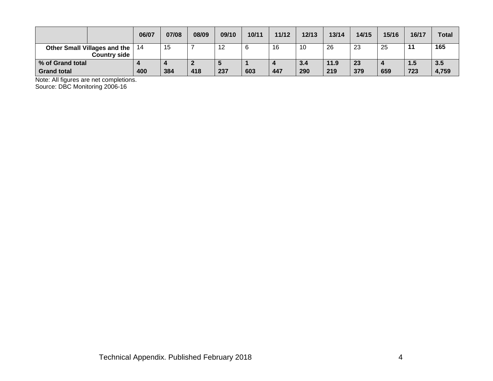|                                     |                     | 06/07 | 07/08 | 08/09 | 09/10 | 10/11 | 11/12 | 12/13 | 13/14 | 14/15 | 15/16 | 16/17 | <b>Total</b> |
|-------------------------------------|---------------------|-------|-------|-------|-------|-------|-------|-------|-------|-------|-------|-------|--------------|
| <b>Other Small Villages and the</b> | <b>Country side</b> | 14    | 15    |       | -12   | ı     | 16    | 10    | 26    | 23    | 25    | 11    | 165          |
| % of Grand total                    |                     |       |       |       | Ð     |       |       | 3.4   | 11.9  | 23    |       | 1.5   | 3.5          |
| <b>Grand total</b>                  |                     | 400   | 384   | 418   | 237   | 603   | 447   | 290   | 219   | 379   | 659   | 723   | 4,759        |

Note: All figures are net completions.

Source: DBC Monitoring 2006-16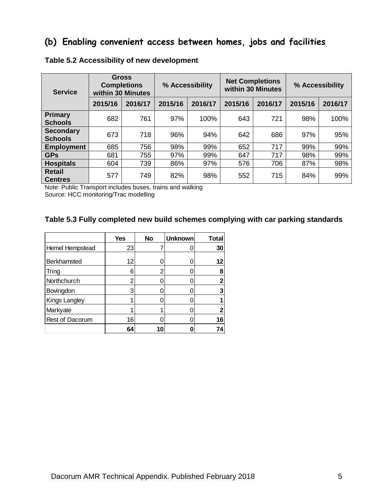### **(b) Enabling convenient access between homes, jobs and facilities**

| <b>Service</b>                     |         | <b>Gross</b><br><b>Completions</b><br>within 30 Minutes |         | % Accessibility |         | <b>Net Completions</b><br>within 30 Minutes | % Accessibility |         |  |
|------------------------------------|---------|---------------------------------------------------------|---------|-----------------|---------|---------------------------------------------|-----------------|---------|--|
|                                    | 2015/16 | 2016/17                                                 | 2015/16 | 2016/17         | 2015/16 | 2016/17                                     | 2015/16         | 2016/17 |  |
| Primary<br><b>Schools</b>          | 682     | 761                                                     | 97%     | 100%            | 643     | 721                                         | 98%             | 100%    |  |
| <b>Secondary</b><br><b>Schools</b> | 673     | 718                                                     | 96%     | 94%             | 642     | 686                                         | 97%             | 95%     |  |
| <b>Employment</b>                  | 685     | 756                                                     | 98%     | 99%             | 652     | 717                                         | 99%             | 99%     |  |
| <b>GPs</b>                         | 681     | 755                                                     | 97%     | 99%             | 647     | 717                                         | 98%             | 99%     |  |
| <b>Hospitals</b>                   | 604     | 739                                                     | 86%     | 97%             | 576     | 706                                         | 87%             | 98%     |  |
| <b>Retail</b><br><b>Centres</b>    | 577     | 749                                                     | 82%     | 98%             | 552     | 715                                         | 84%             | 99%     |  |

#### **Table 5.2 Accessibility of new development**

Note: Public Transport includes buses, trains and walking

Source: HCC monitoring/Trac modelling

#### **Table 5.3 Fully completed new build schemes complying with car parking standards**

|                 | <b>Yes</b> | <b>No</b> | <b>Unknown</b> | <b>Total</b> |
|-----------------|------------|-----------|----------------|--------------|
| Hemel Hempstead | 23         |           |                | 30           |
| Berkhamsted     | 12         |           |                | 12           |
| Tring           | 6          |           |                | 8            |
| Northchurch     | 2          |           |                |              |
| Bovingdon       | 3          |           |                |              |
| Kings Langley   |            |           |                |              |
| Markyate        |            |           |                |              |
| Rest of Dacorum | 16         |           |                | 16           |
|                 | 64         | 10        |                |              |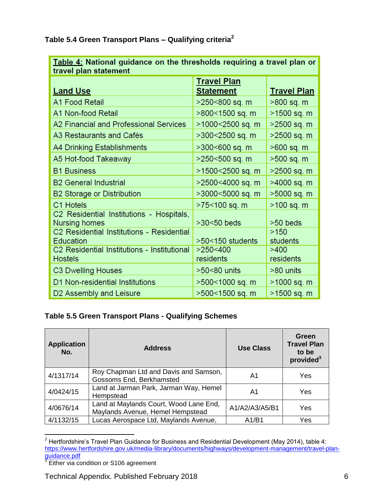**Table 5.4 Green Transport Plans – Qualifying criteria<sup>2</sup>**

| <u>Table 4:</u> National guidance on the thresholds requiring a travel plan or<br>travel plan statement |                                        |                    |  |  |  |  |  |  |
|---------------------------------------------------------------------------------------------------------|----------------------------------------|--------------------|--|--|--|--|--|--|
| <b>Land Use</b>                                                                                         | <b>Travel Plan</b><br><b>Statement</b> | <b>Travel Plan</b> |  |  |  |  |  |  |
| A1 Food Retail                                                                                          | >250<800 sq. m                         | $>800$ sq. m       |  |  |  |  |  |  |
| A1 Non-food Retail                                                                                      | >800<1500 sq. m                        | >1500 sq. m        |  |  |  |  |  |  |
| A2 Financial and Professional Services                                                                  | >1000<2500 sq. m                       | $>2500$ sq. m      |  |  |  |  |  |  |
| A3 Restaurants and Cafés                                                                                | >300<2500 sq. m                        | >2500 sq. m        |  |  |  |  |  |  |
| A4 Drinking Establishments                                                                              | >300<600 sq. m                         | >600 sq. m         |  |  |  |  |  |  |
| A5 Hot-food Takeaway                                                                                    | >250<500 sq. m                         | $>500$ sq. m       |  |  |  |  |  |  |
| <b>B1 Business</b>                                                                                      | >1500<2500 sq. m                       | >2500 sq. m        |  |  |  |  |  |  |
| <b>B2 General Industrial</b>                                                                            | >2500<4000 sq. m                       | >4000 sq. m        |  |  |  |  |  |  |
| <b>B2 Storage or Distribution</b>                                                                       | >3000<5000 sq. m                       | >5000 sq. m        |  |  |  |  |  |  |
| C1 Hotels                                                                                               | >75<100 sq. m                          | >100 sq. m         |  |  |  |  |  |  |
| C2 Residential Institutions - Hospitals,<br>Nursing homes                                               | $>30<50$ beds                          | $>50$ beds         |  |  |  |  |  |  |
| C2 Residential Institutions - Residential                                                               |                                        | >150               |  |  |  |  |  |  |
| <b>Education</b>                                                                                        | $>50<150$ students                     | students           |  |  |  |  |  |  |
| C2 Residential Institutions - Institutional<br><b>Hostels</b>                                           | >250<400<br>residents                  | >400<br>residents  |  |  |  |  |  |  |
| C3 Dwelling Houses                                                                                      | >50<80 units                           | >80 units          |  |  |  |  |  |  |
| D1 Non-residential Institutions                                                                         | >500<1000 sq. m                        | >1000 sq. m        |  |  |  |  |  |  |
| D <sub>2</sub> Assembly and Leisure                                                                     | >500<1500 sq. m                        | >1500 sq. m        |  |  |  |  |  |  |

#### **Table 5.5 Green Transport Plans - Qualifying Schemes**

| <b>Application</b><br>No. | <b>Address</b>                                                             | <b>Use Class</b> | Green<br><b>Travel Plan</b><br>to be<br>provided <sup>3</sup> |
|---------------------------|----------------------------------------------------------------------------|------------------|---------------------------------------------------------------|
| 4/1317/14                 | Roy Chapman Ltd and Davis and Samson,<br>Gossoms End, Berkhamsted          | A1               | Yes                                                           |
| 4/0424/15                 | Land at Jarman Park, Jarman Way, Hemel<br>Hempstead                        | A1               | Yes                                                           |
| 4/0676/14                 | Land at Maylands Court, Wood Lane End,<br>Maylands Avenue, Hemel Hempstead | A1/A2/A3/A5/B1   | Yes                                                           |
| 4/1132/15                 | Lucas Aerospace Ltd, Maylands Avenue,                                      | A1/B1            | Yes                                                           |

 $\overline{a}$ <sup>2</sup> Hertfordshire's Travel Plan Guidance for Business and Residential Development (May 2014), table 4: [https://www.hertfordshire.gov.uk/media-library/documents/highways/development-management/travel-plan-](https://www.hertfordshire.gov.uk/media-library/documents/highways/development-management/travel-plan-guidance.pdf)<u>guidance.pdf</u><br><sup>3</sup> Either via condition or S106 agreement

Technical Appendix. Published February 2018 6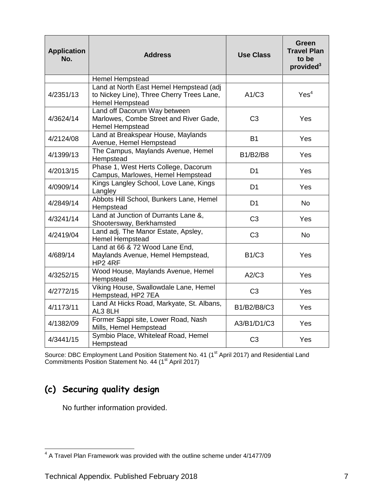| <b>Application</b><br>No. | <b>Address</b>                                                                                                 | <b>Use Class</b> | Green<br><b>Travel Plan</b><br>to be<br>provided <sup>3</sup> |
|---------------------------|----------------------------------------------------------------------------------------------------------------|------------------|---------------------------------------------------------------|
|                           | Hemel Hempstead                                                                                                |                  |                                                               |
| 4/2351/13                 | Land at North East Hemel Hempstead (adj<br>to Nickey Line), Three Cherry Trees Lane,<br><b>Hemel Hempstead</b> | A1/C3            | Yes <sup>4</sup>                                              |
| 4/3624/14                 | Land off Dacorum Way between<br>Marlowes, Combe Street and River Gade,<br>Hemel Hempstead                      | C <sub>3</sub>   | Yes                                                           |
| 4/2124/08                 | Land at Breakspear House, Maylands<br>Avenue, Hemel Hempstead                                                  | <b>B1</b>        | <b>Yes</b>                                                    |
| 4/1399/13                 | The Campus, Maylands Avenue, Hemel<br>Hempstead                                                                | B1/B2/B8         | <b>Yes</b>                                                    |
| 4/2013/15                 | Phase 1, West Herts College, Dacorum<br>Campus, Marlowes, Hemel Hempstead                                      | D <sub>1</sub>   | <b>Yes</b>                                                    |
| 4/0909/14                 | Kings Langley School, Love Lane, Kings<br>Langley                                                              | D <sub>1</sub>   | Yes                                                           |
| 4/2849/14                 | Abbots Hill School, Bunkers Lane, Hemel<br>Hempstead                                                           | D <sub>1</sub>   | <b>No</b>                                                     |
| 4/3241/14                 | Land at Junction of Durrants Lane &,<br>Shootersway, Berkhamsted                                               | C <sub>3</sub>   | Yes                                                           |
| 4/2419/04                 | Land adj. The Manor Estate, Apsley,<br><b>Hemel Hempstead</b>                                                  | C <sub>3</sub>   | <b>No</b>                                                     |
| 4/689/14                  | Land at 66 & 72 Wood Lane End,<br>Maylands Avenue, Hemel Hempstead,<br>HP2 4RF                                 | <b>B1/C3</b>     | Yes                                                           |
| 4/3252/15                 | Wood House, Maylands Avenue, Hemel<br>Hempstead                                                                | A2/C3            | <b>Yes</b>                                                    |
| 4/2772/15                 | Viking House, Swallowdale Lane, Hemel<br>Hempstead, HP2 7EA                                                    | C <sub>3</sub>   | <b>Yes</b>                                                    |
| 4/1173/11                 | Land At Hicks Road, Markyate, St. Albans,<br>AL3 8LH                                                           | B1/B2/B8/C3      | Yes                                                           |
| 4/1382/09                 | Former Sappi site, Lower Road, Nash<br>Mills, Hemel Hempstead                                                  | A3/B1/D1/C3      | <b>Yes</b>                                                    |
| 4/3441/15                 | Symbio Place, Whiteleaf Road, Hemel<br>Hempstead                                                               | C <sub>3</sub>   | Yes                                                           |

Source: DBC Employment Land Position Statement No. 41 (1<sup>st</sup> April 2017) and Residential Land Commitments Position Statement No. 44 (1<sup>st</sup> April 2017)

# **(c) Securing quality design**

 4 A Travel Plan Framework was provided with the outline scheme under 4/1477/09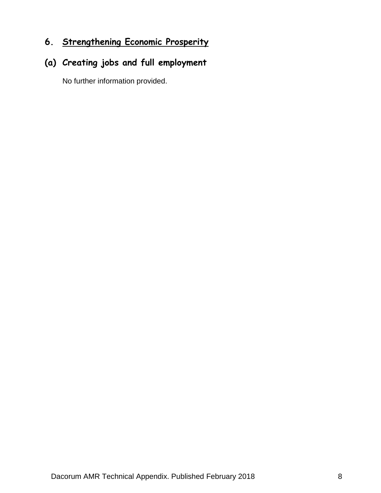# **6. Strengthening Economic Prosperity**

# **(a) Creating jobs and full employment**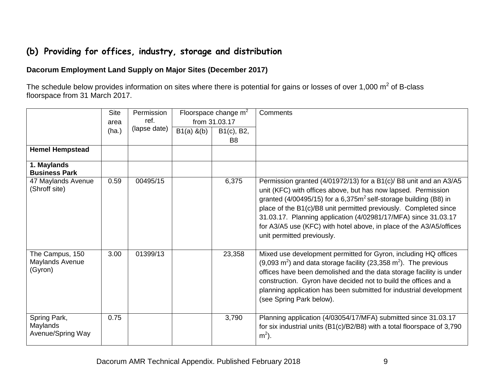# **(b) Providing for offices, industry, storage and distribution**

#### **Dacorum Employment Land Supply on Major Sites (December 2017)**

The schedule below provides information on sites where there is potential for gains or losses of over 1,000 m<sup>2</sup> of B-class floorspace from 31 March 2017.

|                                               | <b>Site</b><br>area | Permission<br>ref. |              | Floorspace change $m2$<br>from 31.03.17 | Comments                                                                                                                                                                                                                                                                                                                                                                                                                                             |
|-----------------------------------------------|---------------------|--------------------|--------------|-----------------------------------------|------------------------------------------------------------------------------------------------------------------------------------------------------------------------------------------------------------------------------------------------------------------------------------------------------------------------------------------------------------------------------------------------------------------------------------------------------|
|                                               | (ha.)               | (lapse date)       | $B1(a)$ &(b) | B1(c), B2,<br>B <sub>8</sub>            |                                                                                                                                                                                                                                                                                                                                                                                                                                                      |
| <b>Hemel Hempstead</b>                        |                     |                    |              |                                         |                                                                                                                                                                                                                                                                                                                                                                                                                                                      |
| 1. Maylands<br><b>Business Park</b>           |                     |                    |              |                                         |                                                                                                                                                                                                                                                                                                                                                                                                                                                      |
| 47 Maylands Avenue<br>(Shroff site)           | 0.59                | 00495/15           |              | 6,375                                   | Permission granted (4/01972/13) for a B1(c)/ B8 unit and an A3/A5<br>unit (KFC) with offices above, but has now lapsed. Permission<br>granted (4/00495/15) for a $6,375m^2$ self-storage building (B8) in<br>place of the B1(c)/B8 unit permitted previously. Completed since<br>31.03.17. Planning application (4/02981/17/MFA) since 31.03.17<br>for A3/A5 use (KFC) with hotel above, in place of the A3/A5/offices<br>unit permitted previously. |
| The Campus, 150<br>Maylands Avenue<br>(Gyron) | 3.00                | 01399/13           |              | 23,358                                  | Mixed use development permitted for Gyron, including HQ offices<br>$(9,093 \text{ m}^2)$ and data storage facility (23,358 m <sup>2</sup> ). The previous<br>offices have been demolished and the data storage facility is under<br>construction. Gyron have decided not to build the offices and a<br>planning application has been submitted for industrial development<br>(see Spring Park below).                                                |
| Spring Park,<br>Maylands<br>Avenue/Spring Way | 0.75                |                    |              | 3,790                                   | Planning application (4/03054/17/MFA) submitted since 31.03.17<br>for six industrial units (B1(c)/B2/B8) with a total floorspace of 3,790<br>$m2$ ).                                                                                                                                                                                                                                                                                                 |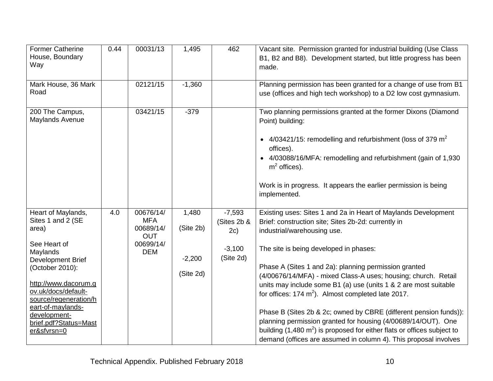| <b>Former Catherine</b><br>House, Boundary<br>Way                                                                                                                                                                                                                         | 0.44 | 00031/13                                                                      | 1,495                                       | 462                                                     | Vacant site. Permission granted for industrial building (Use Class<br>B1, B2 and B8). Development started, but little progress has been<br>made.                                                                                                                                                                                                                                                                                                                                                                                                                                                                                                                                                                                                              |
|---------------------------------------------------------------------------------------------------------------------------------------------------------------------------------------------------------------------------------------------------------------------------|------|-------------------------------------------------------------------------------|---------------------------------------------|---------------------------------------------------------|---------------------------------------------------------------------------------------------------------------------------------------------------------------------------------------------------------------------------------------------------------------------------------------------------------------------------------------------------------------------------------------------------------------------------------------------------------------------------------------------------------------------------------------------------------------------------------------------------------------------------------------------------------------------------------------------------------------------------------------------------------------|
| Mark House, 36 Mark<br>Road                                                                                                                                                                                                                                               |      | 02121/15                                                                      | $-1,360$                                    |                                                         | Planning permission has been granted for a change of use from B1<br>use (offices and high tech workshop) to a D2 low cost gymnasium.                                                                                                                                                                                                                                                                                                                                                                                                                                                                                                                                                                                                                          |
| 200 The Campus,<br>Maylands Avenue                                                                                                                                                                                                                                        |      | 03421/15                                                                      | $-379$                                      |                                                         | Two planning permissions granted at the former Dixons (Diamond<br>Point) building:<br>• $4/03421/15$ : remodelling and refurbishment (loss of 379 m <sup>2</sup><br>offices).<br>• 4/03088/16/MFA: remodelling and refurbishment (gain of 1,930<br>$m2$ offices).<br>Work is in progress. It appears the earlier permission is being<br>implemented.                                                                                                                                                                                                                                                                                                                                                                                                          |
| Heart of Maylands,<br>Sites 1 and 2 (SE<br>area)<br>See Heart of<br>Maylands<br>Development Brief<br>(October 2010):<br>http://www.dacorum.g<br>ov.uk/docs/default-<br>source/regeneration/h<br>eart-of-maylands-<br>development-<br>brief.pdf?Status=Mast<br>er&sfvrsn=0 | 4.0  | 00676/14/<br><b>MFA</b><br>00689/14/<br><b>OUT</b><br>00699/14/<br><b>DEM</b> | 1,480<br>(Site 2b)<br>$-2,200$<br>(Site 2d) | $-7,593$<br>(Sites 2b &<br>2c)<br>$-3,100$<br>(Site 2d) | Existing uses: Sites 1 and 2a in Heart of Maylands Development<br>Brief: construction site; Sites 2b-2d: currently in<br>industrial/warehousing use.<br>The site is being developed in phases:<br>Phase A (Sites 1 and 2a): planning permission granted<br>(4/00676/14/MFA) - mixed Class-A uses; housing; church. Retail<br>units may include some B1 (a) use (units 1 & 2 are most suitable<br>for offices: $174 \text{ m}^2$ ). Almost completed late 2017.<br>Phase B (Sites 2b & 2c; owned by CBRE (different pension funds)):<br>planning permission granted for housing (4/00689/14/OUT). One<br>building $(1,480 \text{ m}^2)$ is proposed for either flats or offices subject to<br>demand (offices are assumed in column 4). This proposal involves |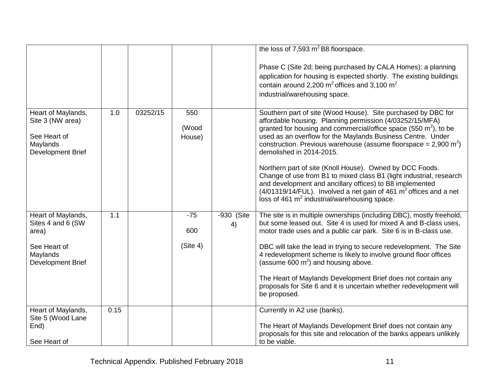|                                                                                         |      |          |                        |                    | the loss of 7,593 $m^2$ B8 floorspace.                                                                                                                                                                                                                                                                                                                                                                                                                                                                                                                                                                                                                                                                                   |
|-----------------------------------------------------------------------------------------|------|----------|------------------------|--------------------|--------------------------------------------------------------------------------------------------------------------------------------------------------------------------------------------------------------------------------------------------------------------------------------------------------------------------------------------------------------------------------------------------------------------------------------------------------------------------------------------------------------------------------------------------------------------------------------------------------------------------------------------------------------------------------------------------------------------------|
|                                                                                         |      |          |                        |                    | Phase C (Site 2d; being purchased by CALA Homes): a planning<br>application for housing is expected shortly. The existing buildings<br>contain around 2,200 $m^2$ offices and 3,100 $m^2$<br>industrial/warehousing space.                                                                                                                                                                                                                                                                                                                                                                                                                                                                                               |
| Heart of Maylands,<br>Site 3 (NW area)<br>See Heart of<br>Maylands<br>Development Brief | 1.0  | 03252/15 | 550<br>(Wood<br>House) |                    | Southern part of site (Wood House). Site purchased by DBC for<br>affordable housing. Planning permission (4/03252/15/MFA)<br>granted for housing and commercial/office space (550 $m2$ ), to be<br>used as an overflow for the Maylands Business Centre. Under<br>construction. Previous warehouse (assume floorspace = $2,900 \text{ m}^2$ )<br>demolished in 2014-2015.<br>Northern part of site (Knoll House). Owned by DCC Foods.<br>Change of use from B1 to mixed class B1 (light industrial, research<br>and development and ancillary offices) to B8 implemented<br>$(4/01319/14/$ FUL). Involved a net gain of 461 m <sup>2</sup> offices and a net<br>loss of 461 m <sup>2</sup> industrial/warehousing space. |
| Heart of Maylands,<br>Sites 4 and 6 (SW<br>area)                                        | 1.1  |          | $-75$<br>600           | $-930$ (Site<br>4) | The site is in multiple ownerships (including DBC), mostly freehold,<br>but some leased out. Site 4 is used for mixed A and B-class uses,<br>motor trade uses and a public car park. Site 6 is in B-class use.                                                                                                                                                                                                                                                                                                                                                                                                                                                                                                           |
| See Heart of<br>Maylands<br>Development Brief                                           |      |          | (Site 4)               |                    | DBC will take the lead in trying to secure redevelopment. The Site<br>4 redevelopment scheme is likely to involve ground floor offices<br>(assume 600 $m^2$ ) and housing above.<br>The Heart of Maylands Development Brief does not contain any<br>proposals for Site 6 and it is uncertain whether redevelopment will<br>be proposed.                                                                                                                                                                                                                                                                                                                                                                                  |
| Heart of Maylands,<br>Site 5 (Wood Lane<br>End)<br>See Heart of                         | 0.15 |          |                        |                    | Currently in A2 use (banks).<br>The Heart of Maylands Development Brief does not contain any<br>proposals for this site and relocation of the banks appears unlikely<br>to be viable.                                                                                                                                                                                                                                                                                                                                                                                                                                                                                                                                    |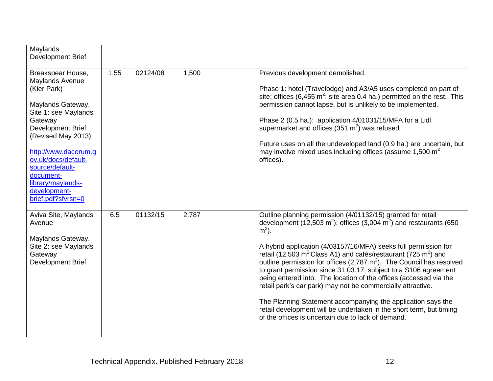| Maylands<br>Development Brief                                                                                                                                                                                                                                                                     |      |          |       |                                                                                                                                                                                                                                                                                                                                                                                                                                                                                                                                                                                                                                                                                                                                                                                                        |
|---------------------------------------------------------------------------------------------------------------------------------------------------------------------------------------------------------------------------------------------------------------------------------------------------|------|----------|-------|--------------------------------------------------------------------------------------------------------------------------------------------------------------------------------------------------------------------------------------------------------------------------------------------------------------------------------------------------------------------------------------------------------------------------------------------------------------------------------------------------------------------------------------------------------------------------------------------------------------------------------------------------------------------------------------------------------------------------------------------------------------------------------------------------------|
| Breakspear House,<br>Maylands Avenue<br>(Kier Park)<br>Maylands Gateway,<br>Site 1: see Maylands<br>Gateway<br>Development Brief<br>(Revised May 2013):<br>http://www.dacorum.g<br>ov.uk/docs/default-<br>source/default-<br>document-<br>library/maylands-<br>development-<br>brief.pdf?sfvrsn=0 | 1.55 | 02124/08 | 1,500 | Previous development demolished.<br>Phase 1: hotel (Travelodge) and A3/A5 uses completed on part of<br>site; offices (6,455 $m^2$ : site area 0.4 ha.) permitted on the rest. This<br>permission cannot lapse, but is unlikely to be implemented.<br>Phase 2 (0.5 ha.): application 4/01031/15/MFA for a Lidl<br>supermarket and offices (351 $m2$ ) was refused.<br>Future uses on all the undeveloped land (0.9 ha.) are uncertain, but<br>may involve mixed uses including offices (assume $1,500 \text{ m}^2$<br>offices).                                                                                                                                                                                                                                                                         |
| Aviva Site, Maylands<br>Avenue<br>Maylands Gateway,<br>Site 2: see Maylands<br>Gateway<br>Development Brief                                                                                                                                                                                       | 6.5  | 01132/15 | 2,787 | Outline planning permission (4/01132/15) granted for retail<br>development (12,503 m <sup>2</sup> ), offices (3,004 m <sup>2</sup> ) and restaurants (650<br>$m2$ ).<br>A hybrid application (4/03157/16/MFA) seeks full permission for<br>retail (12,503 $m^2$ Class A1) and cafés/restaurant (725 $m^2$ ) and<br>outline permission for offices $(2,787 \text{ m}^2)$ . The Council has resolved<br>to grant permission since 31.03.17, subject to a S106 agreement<br>being entered into. The location of the offices (accessed via the<br>retail park's car park) may not be commercially attractive.<br>The Planning Statement accompanying the application says the<br>retail development will be undertaken in the short term, but timing<br>of the offices is uncertain due to lack of demand. |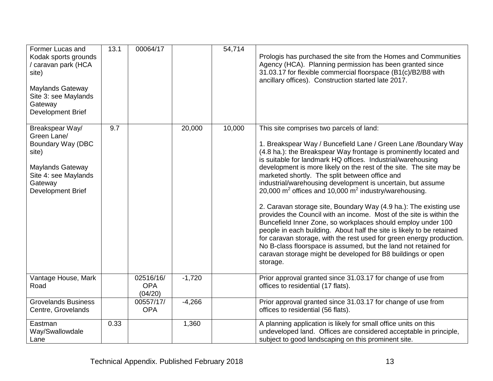| Former Lucas and<br>Kodak sports grounds<br>/ caravan park (HCA<br>site)<br>Maylands Gateway<br>Site 3: see Maylands<br>Gateway<br>Development Brief | 13.1 | 00064/17                           |          | 54,714 | Prologis has purchased the site from the Homes and Communities<br>Agency (HCA). Planning permission has been granted since<br>31.03.17 for flexible commercial floorspace (B1(c)/B2/B8 with<br>ancillary offices). Construction started late 2017.                                                                                                                                                                                                                                                                                                                                                                                                                                                                                                                                                                                                                                                                                                                                                                |
|------------------------------------------------------------------------------------------------------------------------------------------------------|------|------------------------------------|----------|--------|-------------------------------------------------------------------------------------------------------------------------------------------------------------------------------------------------------------------------------------------------------------------------------------------------------------------------------------------------------------------------------------------------------------------------------------------------------------------------------------------------------------------------------------------------------------------------------------------------------------------------------------------------------------------------------------------------------------------------------------------------------------------------------------------------------------------------------------------------------------------------------------------------------------------------------------------------------------------------------------------------------------------|
| Breakspear Way/<br>Green Lane/<br>Boundary Way (DBC<br>site)<br>Maylands Gateway<br>Site 4: see Maylands<br>Gateway<br>Development Brief             | 9.7  |                                    | 20,000   | 10,000 | This site comprises two parcels of land:<br>1. Breakspear Way / Buncefield Lane / Green Lane / Boundary Way<br>(4.8 ha.): the Breakspear Way frontage is prominently located and<br>is suitable for landmark HQ offices. Industrial/warehousing<br>development is more likely on the rest of the site. The site may be<br>marketed shortly. The split between office and<br>industrial/warehousing development is uncertain, but assume<br>20,000 $m^2$ offices and 10,000 $m^2$ industry/warehousing.<br>2. Caravan storage site, Boundary Way (4.9 ha.): The existing use<br>provides the Council with an income. Most of the site is within the<br>Buncefield Inner Zone, so workplaces should employ under 100<br>people in each building. About half the site is likely to be retained<br>for caravan storage, with the rest used for green energy production.<br>No B-class floorspace is assumed, but the land not retained for<br>caravan storage might be developed for B8 buildings or open<br>storage. |
| Vantage House, Mark<br>Road                                                                                                                          |      | 02516/16/<br><b>OPA</b><br>(04/20) | $-1,720$ |        | Prior approval granted since 31.03.17 for change of use from<br>offices to residential (17 flats).                                                                                                                                                                                                                                                                                                                                                                                                                                                                                                                                                                                                                                                                                                                                                                                                                                                                                                                |
| <b>Grovelands Business</b><br>Centre, Grovelands                                                                                                     |      | 00557/17/<br><b>OPA</b>            | $-4,266$ |        | Prior approval granted since 31.03.17 for change of use from<br>offices to residential (56 flats).                                                                                                                                                                                                                                                                                                                                                                                                                                                                                                                                                                                                                                                                                                                                                                                                                                                                                                                |
| Eastman<br>Way/Swallowdale<br>Lane                                                                                                                   | 0.33 |                                    | 1,360    |        | A planning application is likely for small office units on this<br>undeveloped land. Offices are considered acceptable in principle,<br>subject to good landscaping on this prominent site.                                                                                                                                                                                                                                                                                                                                                                                                                                                                                                                                                                                                                                                                                                                                                                                                                       |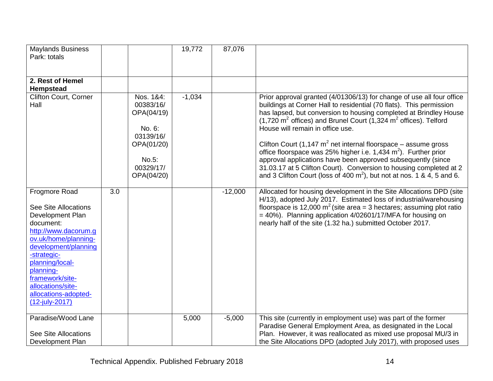| <b>Maylands Business</b><br>Park: totals                                                                                                                                                                                                                                               |     |                                                                                                               | 19,772   | 87,076    |                                                                                                                                                                                                                                                                                                                                                                                                                                                                                                                                                                                                                                                                                                                                        |
|----------------------------------------------------------------------------------------------------------------------------------------------------------------------------------------------------------------------------------------------------------------------------------------|-----|---------------------------------------------------------------------------------------------------------------|----------|-----------|----------------------------------------------------------------------------------------------------------------------------------------------------------------------------------------------------------------------------------------------------------------------------------------------------------------------------------------------------------------------------------------------------------------------------------------------------------------------------------------------------------------------------------------------------------------------------------------------------------------------------------------------------------------------------------------------------------------------------------------|
| 2. Rest of Hemel<br><b>Hempstead</b>                                                                                                                                                                                                                                                   |     |                                                                                                               |          |           |                                                                                                                                                                                                                                                                                                                                                                                                                                                                                                                                                                                                                                                                                                                                        |
| <b>Clifton Court, Corner</b><br>Hall                                                                                                                                                                                                                                                   |     | Nos. 1&4:<br>00383/16/<br>OPA(04/19)<br>No. 6:<br>03139/16/<br>OPA(01/20)<br>No.5:<br>00329/17/<br>OPA(04/20) | $-1,034$ |           | Prior approval granted (4/01306/13) for change of use all four office<br>buildings at Corner Hall to residential (70 flats). This permission<br>has lapsed, but conversion to housing completed at Brindley House<br>$(1,720 \text{ m}^2 \text{ offices})$ and Brunel Court $(1,324 \text{ m}^2 \text{ offices})$ . Telford<br>House will remain in office use.<br>Clifton Court (1,147 $m^2$ net internal floorspace – assume gross<br>office floorspace was 25% higher i.e. 1,434 m <sup>2</sup> ). Further prior<br>approval applications have been approved subsequently (since<br>31.03.17 at 5 Clifton Court). Conversion to housing completed at 2<br>and 3 Clifton Court (loss of 400 $m^2$ ), but not at nos. 1 & 4, 5 and 6. |
| Frogmore Road<br><b>See Site Allocations</b><br>Development Plan<br>document:<br>http://www.dacorum.q<br>ov.uk/home/planning-<br>development/planning<br>-strategic-<br>planning/local-<br>planning-<br>framework/site-<br>allocations/site-<br>allocations-adopted-<br>(12-july-2017) | 3.0 |                                                                                                               |          | $-12,000$ | Allocated for housing development in the Site Allocations DPD (site<br>H/13), adopted July 2017. Estimated loss of industrial/warehousing<br>floorspace is 12,000 $m^2$ (site area = 3 hectares; assuming plot ratio<br>$=$ 40%). Planning application 4/02601/17/MFA for housing on<br>nearly half of the site (1.32 ha.) submitted October 2017.                                                                                                                                                                                                                                                                                                                                                                                     |
| Paradise/Wood Lane<br>See Site Allocations<br>Development Plan                                                                                                                                                                                                                         |     |                                                                                                               | 5,000    | $-5,000$  | This site (currently in employment use) was part of the former<br>Paradise General Employment Area, as designated in the Local<br>Plan. However, it was reallocated as mixed use proposal MU/3 in<br>the Site Allocations DPD (adopted July 2017), with proposed uses                                                                                                                                                                                                                                                                                                                                                                                                                                                                  |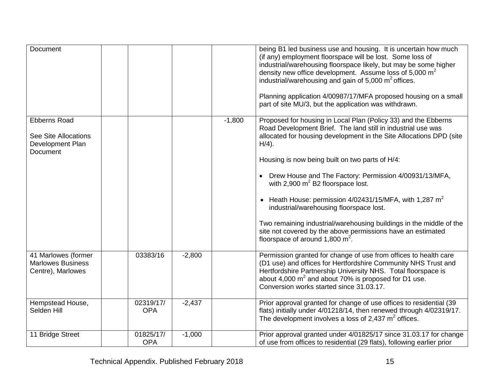| <b>Document</b>                                                                    |                         |          |          | being B1 led business use and housing. It is uncertain how much<br>(if any) employment floorspace will be lost. Some loss of<br>industrial/warehousing floorspace likely, but may be some higher<br>density new office development. Assume loss of 5,000 m <sup>2</sup><br>industrial/warehousing and gain of $5,000 \text{ m}^2$ offices.<br>Planning application 4/00987/17/MFA proposed housing on a small<br>part of site MU/3, but the application was withdrawn. |
|------------------------------------------------------------------------------------|-------------------------|----------|----------|------------------------------------------------------------------------------------------------------------------------------------------------------------------------------------------------------------------------------------------------------------------------------------------------------------------------------------------------------------------------------------------------------------------------------------------------------------------------|
| <b>Ebberns Road</b><br>See Site Allocations<br>Development Plan<br><b>Document</b> |                         |          | $-1,800$ | Proposed for housing in Local Plan (Policy 33) and the Ebberns<br>Road Development Brief. The land still in industrial use was<br>allocated for housing development in the Site Allocations DPD (site<br>$H/4$ ).<br>Housing is now being built on two parts of H/4:<br>Drew House and The Factory: Permission 4/00931/13/MFA,<br>with 2,900 $m^2$ B2 floorspace lost.<br>• Heath House: permission $4/02431/15/MFA$ , with 1,287 m <sup>2</sup>                       |
|                                                                                    |                         |          |          | industrial/warehousing floorspace lost.<br>Two remaining industrial/warehousing buildings in the middle of the<br>site not covered by the above permissions have an estimated<br>floorspace of around 1,800 $m^2$ .                                                                                                                                                                                                                                                    |
| 41 Marlowes (former<br><b>Marlowes Business</b><br>Centre), Marlowes               | 03383/16                | $-2,800$ |          | Permission granted for change of use from offices to health care<br>(D1 use) and offices for Hertfordshire Community NHS Trust and<br>Hertfordshire Partnership University NHS. Total floorspace is<br>about 4,000 $m^2$ and about 70% is proposed for D1 use.<br>Conversion works started since 31.03.17.                                                                                                                                                             |
| Hempstead House,<br>Selden Hill                                                    | 02319/17/<br><b>OPA</b> | $-2,437$ |          | Prior approval granted for change of use offices to residential (39<br>flats) initially under 4/01218/14, then renewed through 4/02319/17.<br>The development involves a loss of 2,437 $m2$ offices.                                                                                                                                                                                                                                                                   |
| 11 Bridge Street                                                                   | 01825/17/<br><b>OPA</b> | $-1,000$ |          | Prior approval granted under 4/01825/17 since 31.03.17 for change<br>of use from offices to residential (29 flats), following earlier prior                                                                                                                                                                                                                                                                                                                            |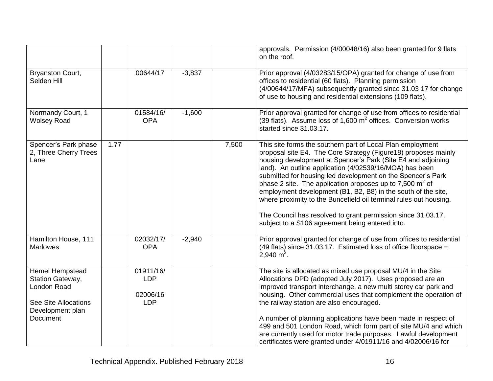|                                                                                                                   |      |                                                   |          |       | approvals. Permission (4/00048/16) also been granted for 9 flats<br>on the roof.                                                                                                                                                                                                                                                                                                                                                                                                                                                                                                                                                              |
|-------------------------------------------------------------------------------------------------------------------|------|---------------------------------------------------|----------|-------|-----------------------------------------------------------------------------------------------------------------------------------------------------------------------------------------------------------------------------------------------------------------------------------------------------------------------------------------------------------------------------------------------------------------------------------------------------------------------------------------------------------------------------------------------------------------------------------------------------------------------------------------------|
| Bryanston Court,<br>Selden Hill                                                                                   |      | 00644/17                                          | $-3,837$ |       | Prior approval (4/03283/15/OPA) granted for change of use from<br>offices to residential (60 flats). Planning permission<br>(4/00644/17/MFA) subsequently granted since 31.03 17 for change<br>of use to housing and residential extensions (109 flats).                                                                                                                                                                                                                                                                                                                                                                                      |
| Normandy Court, 1<br><b>Wolsey Road</b>                                                                           |      | 01584/16/<br><b>OPA</b>                           | $-1,600$ |       | Prior approval granted for change of use from offices to residential<br>(39 flats). Assume loss of $1,600 \text{ m}^2$ offices. Conversion works<br>started since 31.03.17.                                                                                                                                                                                                                                                                                                                                                                                                                                                                   |
| Spencer's Park phase<br>2, Three Cherry Trees<br>Lane                                                             | 1.77 |                                                   |          | 7,500 | This site forms the southern part of Local Plan employment<br>proposal site E4. The Core Strategy (Figure18) proposes mainly<br>housing development at Spencer's Park (Site E4 and adjoining<br>land). An outline application (4/02539/16/MOA) has been<br>submitted for housing led development on the Spencer's Park<br>phase 2 site. The application proposes up to 7,500 $m2$ of<br>employment development (B1, B2, B8) in the south of the site,<br>where proximity to the Buncefield oil terminal rules out housing.<br>The Council has resolved to grant permission since 31.03.17,<br>subject to a S106 agreement being entered into. |
| Hamilton House, 111<br><b>Marlowes</b>                                                                            |      | 02032/17/<br><b>OPA</b>                           | $-2,940$ |       | Prior approval granted for change of use from offices to residential<br>(49 flats) since 31.03.17. Estimated loss of office floorspace =<br>$2,940 \text{ m}^2$ .                                                                                                                                                                                                                                                                                                                                                                                                                                                                             |
| Hemel Hempstead<br>Station Gateway,<br>London Road<br><b>See Site Allocations</b><br>Development plan<br>Document |      | 01911/16/<br><b>LDP</b><br>02006/16<br><b>LDP</b> |          |       | The site is allocated as mixed use proposal MU/4 in the Site<br>Allocations DPD (adopted July 2017). Uses proposed are an<br>improved transport interchange, a new multi storey car park and<br>housing. Other commercial uses that complement the operation of<br>the railway station are also encouraged.<br>A number of planning applications have been made in respect of                                                                                                                                                                                                                                                                 |
|                                                                                                                   |      |                                                   |          |       | 499 and 501 London Road, which form part of site MU/4 and which<br>are currently used for motor trade purposes. Lawful development<br>certificates were granted under 4/01911/16 and 4/02006/16 for                                                                                                                                                                                                                                                                                                                                                                                                                                           |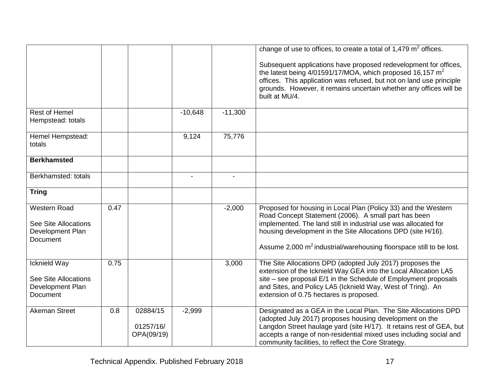|                                                                                           |      |                                     |           |           | change of use to offices, to create a total of $1,479 \text{ m}^2$ offices.<br>Subsequent applications have proposed redevelopment for offices,<br>the latest being $4/01591/17/MOA$ , which proposed 16,157 m <sup>2</sup><br>offices. This application was refused, but not on land use principle<br>grounds. However, it remains uncertain whether any offices will be<br>built at MU/4. |
|-------------------------------------------------------------------------------------------|------|-------------------------------------|-----------|-----------|---------------------------------------------------------------------------------------------------------------------------------------------------------------------------------------------------------------------------------------------------------------------------------------------------------------------------------------------------------------------------------------------|
| <b>Rest of Hemel</b><br>Hempstead: totals                                                 |      |                                     | $-10,648$ | $-11,300$ |                                                                                                                                                                                                                                                                                                                                                                                             |
| Hemel Hempstead:<br>totals                                                                |      |                                     | 9,124     | 75,776    |                                                                                                                                                                                                                                                                                                                                                                                             |
| <b>Berkhamsted</b>                                                                        |      |                                     |           |           |                                                                                                                                                                                                                                                                                                                                                                                             |
| Berkhamsted: totals                                                                       |      |                                     |           |           |                                                                                                                                                                                                                                                                                                                                                                                             |
| <b>Tring</b>                                                                              |      |                                     |           |           |                                                                                                                                                                                                                                                                                                                                                                                             |
| <b>Western Road</b><br><b>See Site Allocations</b><br>Development Plan<br><b>Document</b> | 0.47 |                                     |           | $-2,000$  | Proposed for housing in Local Plan (Policy 33) and the Western<br>Road Concept Statement (2006). A small part has been<br>implemented. The land still in industrial use was allocated for<br>housing development in the Site Allocations DPD (site H/16).<br>Assume 2,000 m <sup>2</sup> industrial/warehousing floorspace still to be lost.                                                |
| Icknield Way<br><b>See Site Allocations</b><br>Development Plan<br><b>Document</b>        | 0.75 |                                     |           | 3,000     | The Site Allocations DPD (adopted July 2017) proposes the<br>extension of the Icknield Way GEA into the Local Allocation LA5<br>site - see proposal E/1 in the Schedule of Employment proposals<br>and Sites, and Policy LA5 (Icknield Way, West of Tring). An<br>extension of 0.75 hectares is proposed.                                                                                   |
| <b>Akeman Street</b>                                                                      | 0.8  | 02884/15<br>01257/16/<br>OPA(09/19) | $-2,999$  |           | Designated as a GEA in the Local Plan. The Site Allocations DPD<br>(adopted July 2017) proposes housing development on the<br>Langdon Street haulage yard (site H/17). It retains rest of GEA, but<br>accepts a range of non-residential mixed uses including social and<br>community facilities, to reflect the Core Strategy.                                                             |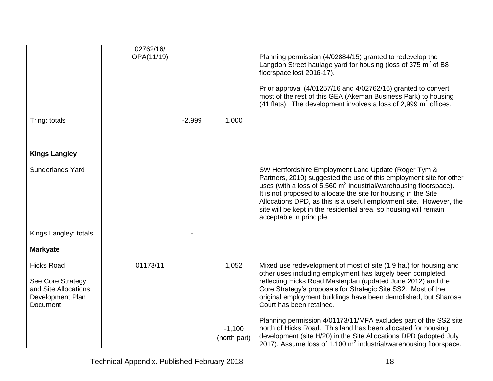|                                                                                                | 02762/16/<br>OPA(11/19) |          |                          | Planning permission (4/02884/15) granted to redevelop the<br>Langdon Street haulage yard for housing (loss of 375 $m2$ of B8<br>floorspace lost 2016-17).<br>Prior approval (4/01257/16 and 4/02762/16) granted to convert<br>most of the rest of this GEA (Akeman Business Park) to housing<br>(41 flats). The development involves a loss of 2,999 $m^2$ offices. .                                                                                 |
|------------------------------------------------------------------------------------------------|-------------------------|----------|--------------------------|-------------------------------------------------------------------------------------------------------------------------------------------------------------------------------------------------------------------------------------------------------------------------------------------------------------------------------------------------------------------------------------------------------------------------------------------------------|
| Tring: totals                                                                                  |                         | $-2,999$ | 1,000                    |                                                                                                                                                                                                                                                                                                                                                                                                                                                       |
| <b>Kings Langley</b>                                                                           |                         |          |                          |                                                                                                                                                                                                                                                                                                                                                                                                                                                       |
| Sunderlands Yard                                                                               |                         |          |                          | SW Hertfordshire Employment Land Update (Roger Tym &<br>Partners, 2010) suggested the use of this employment site for other<br>uses (with a loss of $5,560 \text{ m}^2$ industrial/warehousing floorspace).<br>It is not proposed to allocate the site for housing in the Site<br>Allocations DPD, as this is a useful employment site. However, the<br>site will be kept in the residential area, so housing will remain<br>acceptable in principle. |
| Kings Langley: totals                                                                          |                         |          |                          |                                                                                                                                                                                                                                                                                                                                                                                                                                                       |
| <b>Markyate</b>                                                                                |                         |          |                          |                                                                                                                                                                                                                                                                                                                                                                                                                                                       |
| <b>Hicks Road</b><br>See Core Strategy<br>and Site Allocations<br>Development Plan<br>Document | 01173/11                |          | 1,052                    | Mixed use redevelopment of most of site (1.9 ha.) for housing and<br>other uses including employment has largely been completed,<br>reflecting Hicks Road Masterplan (updated June 2012) and the<br>Core Strategy's proposals for Strategic Site SS2. Most of the<br>original employment buildings have been demolished, but Sharose<br>Court has been retained.<br>Planning permission 4/01173/11/MFA excludes part of the SS2 site                  |
|                                                                                                |                         |          | $-1,100$<br>(north part) | north of Hicks Road. This land has been allocated for housing<br>development (site H/20) in the Site Allocations DPD (adopted July<br>2017). Assume loss of 1,100 $m^2$ industrial/warehousing floorspace.                                                                                                                                                                                                                                            |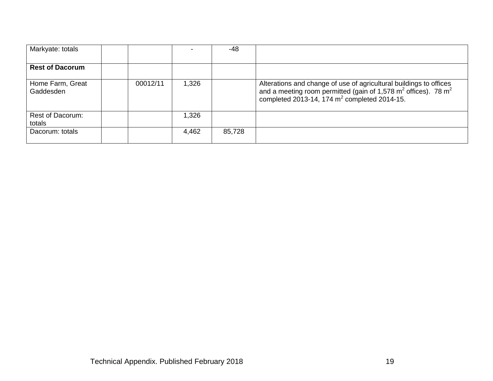| Markyate: totals              |          |       | -48    |                                                                                                                                                                                                                         |
|-------------------------------|----------|-------|--------|-------------------------------------------------------------------------------------------------------------------------------------------------------------------------------------------------------------------------|
| <b>Rest of Dacorum</b>        |          |       |        |                                                                                                                                                                                                                         |
| Home Farm, Great<br>Gaddesden | 00012/11 | 1,326 |        | Alterations and change of use of agricultural buildings to offices<br>and a meeting room permitted (gain of 1,578 m <sup>2</sup> offices). 78 m <sup>2</sup><br>completed 2013-14, $174 \text{ m}^2$ completed 2014-15. |
| Rest of Dacorum:<br>totals    |          | 1,326 |        |                                                                                                                                                                                                                         |
| Dacorum: totals               |          | 4,462 | 85,728 |                                                                                                                                                                                                                         |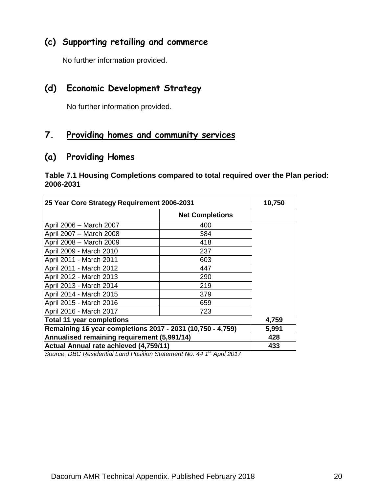#### **(c) Supporting retailing and commerce**

No further information provided.

#### **(d) Economic Development Strategy**

No further information provided.

# **7. Providing homes and community services**

#### **(a) Providing Homes**

**Table 7.1 Housing Completions compared to total required over the Plan period: 2006-2031**

| 25 Year Core Strategy Requirement 2006-2031                | 10,750                 |     |
|------------------------------------------------------------|------------------------|-----|
|                                                            | <b>Net Completions</b> |     |
| April 2006 - March 2007                                    | 400                    |     |
| April 2007 - March 2008                                    | 384                    |     |
| April 2008 - March 2009                                    | 418                    |     |
| April 2009 - March 2010                                    | 237                    |     |
| April 2011 - March 2011                                    | 603                    |     |
| April 2011 - March 2012                                    | 447                    |     |
| April 2012 - March 2013                                    | 290                    |     |
| April 2013 - March 2014                                    | 219                    |     |
| April 2014 - March 2015                                    | 379                    |     |
| April 2015 - March 2016                                    | 659                    |     |
| April 2016 - March 2017                                    | 723                    |     |
| <b>Total 11 year completions</b>                           | 4,759                  |     |
| Remaining 16 year completions 2017 - 2031 (10,750 - 4,759) | 5,991                  |     |
| Annualised remaining requirement (5,991/14)                | 428                    |     |
| Actual Annual rate achieved (4,759/11)                     |                        | 433 |

*Source: DBC Residential Land Position Statement No. 44 1 st April 2017*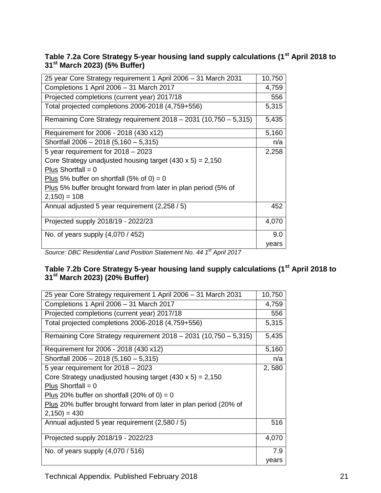#### **Table 7.2a Core Strategy 5-year housing land supply calculations (1st April 2018 to 31st March 2023) (5% Buffer)**

| 25 year Core Strategy requirement 1 April 2006 - 31 March 2031   | 10,750 |
|------------------------------------------------------------------|--------|
| Completions 1 April 2006 - 31 March 2017                         | 4,759  |
| Projected completions (current year) 2017/18                     | 556    |
| Total projected completions 2006-2018 (4,759+556)                | 5,315  |
| Remaining Core Strategy requirement 2018 - 2031 (10,750 - 5,315) | 5,435  |
| Requirement for 2006 - 2018 (430 x12)                            | 5,160  |
| Shortfall 2006 - 2018 (5,160 - 5,315)                            | n/a    |
| 5 year requirement for $2018 - 2023$                             | 2,258  |
| Core Strategy unadjusted housing target $(430 \times 5) = 2,150$ |        |
| Plus Shortfall = $0$                                             |        |
| Plus 5% buffer on shortfall (5% of 0) = 0                        |        |
| Plus 5% buffer brought forward from later in plan period (5% of  |        |
| $2,150$ = 108                                                    |        |
| Annual adjusted 5 year requirement (2,258 / 5)                   | 452    |
| Projected supply 2018/19 - 2022/23                               | 4,070  |
| No. of years supply (4,070 / 452)                                | 9.0    |
|                                                                  | years  |

*Source: DBC Residential Land Position Statement No. 44 1 st April 2017*

#### **Table 7.2b Core Strategy 5-year housing land supply calculations (1st April 2018 to 31st March 2023) (20% Buffer)**

| 25 year Core Strategy requirement 1 April 2006 - 31 March 2031     | 10,750 |
|--------------------------------------------------------------------|--------|
| Completions 1 April 2006 - 31 March 2017                           | 4,759  |
| Projected completions (current year) 2017/18                       | 556    |
| Total projected completions 2006-2018 (4,759+556)                  | 5,315  |
| Remaining Core Strategy requirement $2018 - 2031$ (10,750 - 5,315) | 5,435  |
| Requirement for 2006 - 2018 (430 x12)                              | 5,160  |
| Shortfall 2006 - 2018 (5,160 - 5,315)                              | n/a    |
| 5 year requirement for $2018 - 2023$                               | 2,580  |
| Core Strategy unadjusted housing target $(430 \times 5) = 2,150$   |        |
| Plus Shortfall = $0$                                               |        |
| Plus 20% buffer on shortfall (20% of 0) = 0                        |        |
| Plus 20% buffer brought forward from later in plan period (20% of  |        |
| $2,150$ = 430                                                      |        |
| Annual adjusted 5 year requirement (2,580 / 5)                     | 516    |
| Projected supply 2018/19 - 2022/23                                 | 4,070  |
| No. of years supply (4,070 / 516)                                  | 7.9    |
|                                                                    | years  |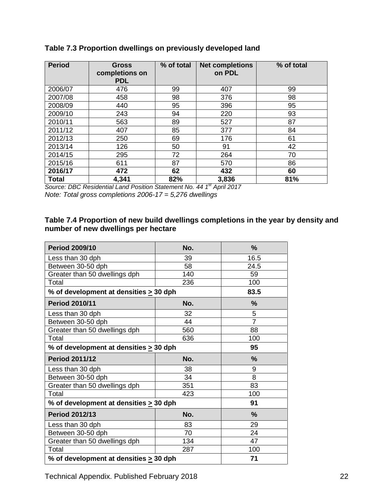| <b>Period</b> | <b>Gross</b><br>completions on<br><b>PDL</b> | % of total | <b>Net completions</b><br>on PDL | % of total |
|---------------|----------------------------------------------|------------|----------------------------------|------------|
| 2006/07       | 476                                          | 99         | 407                              | 99         |
| 2007/08       | 458                                          | 98         | 376                              | 98         |
| 2008/09       | 440                                          | 95         | 396                              | 95         |
| 2009/10       | 243                                          | 94         | 220                              | 93         |
| 2010/11       | 563                                          | 89         | 527                              | 87         |
| 2011/12       | 407                                          | 85         | 377                              | 84         |
| 2012/13       | 250                                          | 69         | 176                              | 61         |
| 2013/14       | 126                                          | 50         | 91                               | 42         |
| 2014/15       | 295                                          | 72         | 264                              | 70         |
| 2015/16       | 611                                          | 87         | 570                              | 86         |
| 2016/17       | 472                                          | 62         | 432                              | 60         |
| <b>Total</b>  | 4,341                                        | 82%        | 3,836                            | 81%        |

#### **Table 7.3 Proportion dwellings on previously developed land**

*Source: DBC Residential Land Position Statement No. 44 1 st April 2017 Note: Total gross completions 2006-17 = 5,276 dwellings*

#### **Table 7.4 Proportion of new build dwellings completions in the year by density and number of new dwellings per hectare**

| <b>Period 2009/10</b>                       | No. | $\frac{0}{0}$  |
|---------------------------------------------|-----|----------------|
| Less than 30 dph                            | 39  | 16.5           |
| Between 30-50 dph                           | 58  | 24.5           |
| Greater than 50 dwellings dph               | 140 | 59             |
| Total                                       | 236 | 100            |
| % of development at densities $\geq$ 30 dph |     | 83.5           |
| <b>Period 2010/11</b>                       | No. | $\frac{9}{6}$  |
| Less than 30 dph                            | 32  | 5              |
| Between 30-50 dph                           | 44  | $\overline{7}$ |
| Greater than 50 dwellings dph               | 560 | 88             |
| Total                                       | 636 | 100            |
| % of development at densities $\geq$ 30 dph |     | 95             |
| <b>Period 2011/12</b>                       | No. | $\frac{9}{6}$  |
| Less than 30 dph                            | 38  | 9              |
| Between 30-50 dph                           | 34  | 8              |
| Greater than 50 dwellings dph               | 351 | 83             |
| Total                                       | 423 | 100            |
| % of development at densities $\geq$ 30 dph |     | 91             |
| <b>Period 2012/13</b>                       | No. | $\frac{9}{6}$  |
| Less than 30 dph                            | 83  | 29             |
| Between 30-50 dph                           | 70  | 24             |
|                                             |     |                |
| Greater than 50 dwellings dph               | 134 | 47             |
| Total                                       | 287 | 100            |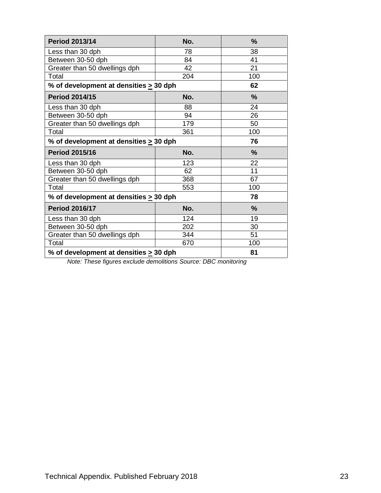| <b>Period 2013/14</b>                       | No. | $\frac{9}{6}$ |
|---------------------------------------------|-----|---------------|
| Less than 30 dph                            | 78  | 38            |
| Between 30-50 dph                           | 84  | 41            |
| Greater than 50 dwellings dph               | 42  | 21            |
| Total                                       | 204 | 100           |
| % of development at densities $\geq 30$ dph |     | 62            |
| <b>Period 2014/15</b>                       | No. | $\frac{9}{6}$ |
| Less than 30 dph                            | 88  | 24            |
| Between 30-50 dph                           | 94  | 26            |
| Greater than 50 dwellings dph               | 179 | 50            |
| Total                                       | 361 | 100           |
| % of development at densities $\geq$ 30 dph |     | 76            |
|                                             |     |               |
| <b>Period 2015/16</b>                       | No. | %             |
| Less than 30 dph                            | 123 | 22            |
| Between 30-50 dph                           | 62  | 11            |
| Greater than 50 dwellings dph               | 368 | 67            |
| Total                                       | 553 | 100           |
| % of development at densities $\geq$ 30 dph |     | 78            |
| <b>Period 2016/17</b>                       | No. | $\frac{9}{6}$ |
| Less than 30 dph                            | 124 | 19            |
| Between 30-50 dph                           | 202 | 30            |
| Greater than 50 dwellings dph               | 344 | 51            |
| Total                                       | 670 | 100           |

*Note: These figures exclude demolitions Source: DBC monitoring*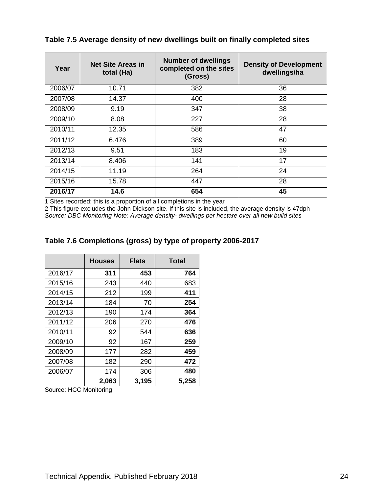| Year    | <b>Net Site Areas in</b><br>total (Ha) | <b>Number of dwellings</b><br>completed on the sites<br>(Gross) | <b>Density of Development</b><br>dwellings/ha |
|---------|----------------------------------------|-----------------------------------------------------------------|-----------------------------------------------|
| 2006/07 | 10.71                                  | 382                                                             | 36                                            |
| 2007/08 | 14.37                                  | 400                                                             | 28                                            |
| 2008/09 | 9.19                                   | 347                                                             | 38                                            |
| 2009/10 | 8.08                                   | 227                                                             | 28                                            |
| 2010/11 | 12.35                                  | 586                                                             | 47                                            |
| 2011/12 | 6.476                                  | 389                                                             | 60                                            |
| 2012/13 | 9.51                                   | 183                                                             | 19                                            |
| 2013/14 | 8.406                                  | 141                                                             | 17                                            |
| 2014/15 | 11.19                                  | 264                                                             | 24                                            |
| 2015/16 | 15.78                                  | 447                                                             | 28                                            |
| 2016/17 | 14.6                                   | 654                                                             | 45                                            |

**Table 7.5 Average density of new dwellings built on finally completed sites**

1 Sites recorded: this is a proportion of all completions in the year

2 This figure excludes the John Dickson site. If this site is included, the average density is 47dph *Source: DBC Monitoring Note: Average density- dwellings per hectare over all new build sites*

|         | <b>Houses</b> | <b>Flats</b> | <b>Total</b> |
|---------|---------------|--------------|--------------|
| 2016/17 | 311           | 453          | 764          |
| 2015/16 | 243           | 440          | 683          |
| 2014/15 | 212           | 199          | 411          |
| 2013/14 | 184           | 70           | 254          |
| 2012/13 | 190           | 174          | 364          |
| 2011/12 | 206           | 270          | 476          |
| 2010/11 | 92            | 544          | 636          |
| 2009/10 | 92            | 167          | 259          |
| 2008/09 | 177           | 282          | 459          |
| 2007/08 | 182           | 290          | 472          |
| 2006/07 | 174           | 306          | 480          |
|         | 2,063         | 3,195        | 5,258        |

#### **Table 7.6 Completions (gross) by type of property 2006-2017**

Source: HCC Monitoring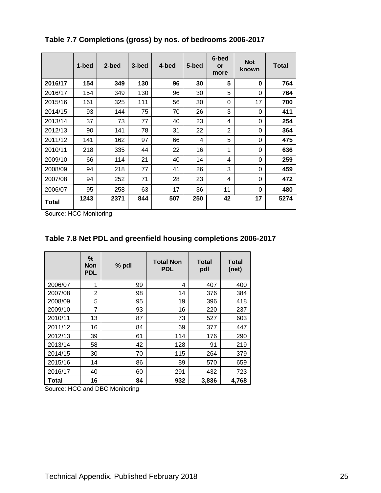|         | 1-bed | 2-bed | 3-bed | 4-bed | 5-bed | 6-bed<br>or<br>more | <b>Not</b><br>known | Total |
|---------|-------|-------|-------|-------|-------|---------------------|---------------------|-------|
| 2016/17 | 154   | 349   | 130   | 96    | 30    | 5                   | 0                   | 764   |
| 2016/17 | 154   | 349   | 130   | 96    | 30    | 5                   | 0                   | 764   |
| 2015/16 | 161   | 325   | 111   | 56    | 30    | 0                   | 17                  | 700   |
| 2014/15 | 93    | 144   | 75    | 70    | 26    | 3                   | 0                   | 411   |
| 2013/14 | 37    | 73    | 77    | 40    | 23    | 4                   | 0                   | 254   |
| 2012/13 | 90    | 141   | 78    | 31    | 22    | $\overline{2}$      | 0                   | 364   |
| 2011/12 | 141   | 162   | 97    | 66    | 4     | 5                   | 0                   | 475   |
| 2010/11 | 218   | 335   | 44    | 22    | 16    | 1                   | 0                   | 636   |
| 2009/10 | 66    | 114   | 21    | 40    | 14    | 4                   | 0                   | 259   |
| 2008/09 | 94    | 218   | 77    | 41    | 26    | 3                   | 0                   | 459   |
| 2007/08 | 94    | 252   | 71    | 28    | 23    | 4                   | 0                   | 472   |
| 2006/07 | 95    | 258   | 63    | 17    | 36    | 11                  | $\Omega$            | 480   |
| Total   | 1243  | 2371  | 844   | 507   | 250   | 42                  | 17                  | 5274  |

**Table 7.7 Completions (gross) by nos. of bedrooms 2006-2017**

Source: HCC Monitoring

| Table 7.8 Net PDL and greenfield housing completions 2006-2017 |  |  |
|----------------------------------------------------------------|--|--|
|                                                                |  |  |

|         | %<br>Non<br><b>PDL</b> | % pdl | <b>Total Non</b><br><b>PDL</b> | <b>Total</b><br>pdl | Total<br>(net) |
|---------|------------------------|-------|--------------------------------|---------------------|----------------|
| 2006/07 | 1                      | 99    | 4                              | 407                 | 400            |
| 2007/08 | 2                      | 98    | 14                             | 376                 | 384            |
| 2008/09 | 5                      | 95    | 19                             | 396                 | 418            |
| 2009/10 | 7                      | 93    | 16                             | 220                 | 237            |
| 2010/11 | 13                     | 87    | 73                             | 527                 | 603            |
| 2011/12 | 16                     | 84    | 69                             | 377                 | 447            |
| 2012/13 | 39                     | 61    | 114                            | 176                 | 290            |
| 2013/14 | 58                     | 42    | 128                            | 91                  | 219            |
| 2014/15 | 30                     | 70    | 115                            | 264                 | 379            |
| 2015/16 | 14                     | 86    | 89                             | 570                 | 659            |
| 2016/17 | 40                     | 60    | 291                            | 432                 | 723            |
| Total   | 16                     | 84    | 932                            | 3,836               | 4,768          |

Source: HCC and DBC Monitoring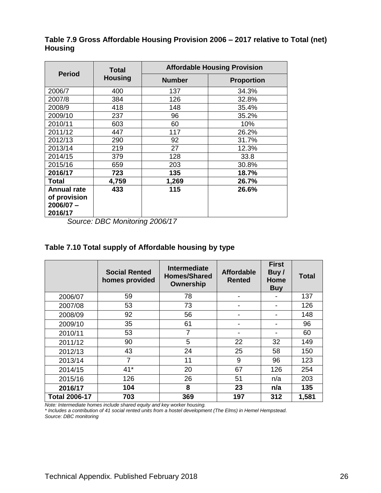|                                                   | <b>Total</b>   |               | <b>Affordable Housing Provision</b> |
|---------------------------------------------------|----------------|---------------|-------------------------------------|
| <b>Period</b>                                     | <b>Housing</b> | <b>Number</b> | <b>Proportion</b>                   |
| 2006/7                                            | 400            | 137           | 34.3%                               |
| 2007/8                                            | 384            | 126           | 32.8%                               |
| 2008/9                                            | 418            | 148           | 35.4%                               |
| 2009/10                                           | 237            | 96            | 35.2%                               |
| 2010/11                                           | 603            | 60            | 10%                                 |
| 2011/12                                           | 447            | 117           | 26.2%                               |
| 2012/13                                           | 290            | 92            | 31.7%                               |
| 2013/14                                           | 219            | 27            | 12.3%                               |
| 2014/15                                           | 379            | 128           | 33.8                                |
| 2015/16                                           | 659            | 203           | 30.8%                               |
| 2016/17                                           | 723            | 135           | 18.7%                               |
| Total                                             | 4,759          | 1,269         | 26.7%                               |
| <b>Annual rate</b><br>of provision<br>$2006/07 -$ | 433            | 115           | 26.6%                               |
| 2016/17                                           |                |               |                                     |

**Table 7.9 Gross Affordable Housing Provision 2006 – 2017 relative to Total (net) Housing**

*Source: DBC Monitoring 2006/17*

#### **Table 7.10 Total supply of Affordable housing by type**

|                      | <b>Social Rented</b><br>homes provided | <b>Intermediate</b><br><b>Homes/Shared</b><br>Ownership | <b>Affordable</b><br><b>Rented</b> | <b>First</b><br>Buy/<br>Home<br><b>Buy</b> | Total |
|----------------------|----------------------------------------|---------------------------------------------------------|------------------------------------|--------------------------------------------|-------|
| 2006/07              | 59                                     | 78                                                      | -                                  |                                            | 137   |
| 2007/08              | 53                                     | 73                                                      |                                    |                                            | 126   |
| 2008/09              | 92                                     | 56                                                      |                                    |                                            | 148   |
| 2009/10              | 35                                     | 61                                                      |                                    |                                            | 96    |
| 2010/11              | 53                                     | $\overline{7}$                                          | -                                  | $\overline{\phantom{a}}$                   | 60    |
| 2011/12              | 90                                     | 5                                                       | 22                                 | 32                                         | 149   |
| 2012/13              | 43                                     | 24                                                      | 25                                 | 58                                         | 150   |
| 2013/14              | $\overline{7}$                         | 11                                                      | 9                                  | 96                                         | 123   |
| 2014/15              | $41*$                                  | 20                                                      | 67                                 | 126                                        | 254   |
| 2015/16              | 126                                    | 26                                                      | 51                                 | n/a                                        | 203   |
| 2016/17              | 104                                    | 8                                                       | 23                                 | n/a                                        | 135   |
| <b>Total 2006-17</b> | 703                                    | 369                                                     | 197                                | 312                                        | 1,581 |

*Note: Intermediate homes include shared equity and key worker housing.* 

*\* Includes a contribution of 41 social rented units from a hostel development (The Elms) in Hemel Hempstead. Source: DBC monitoring*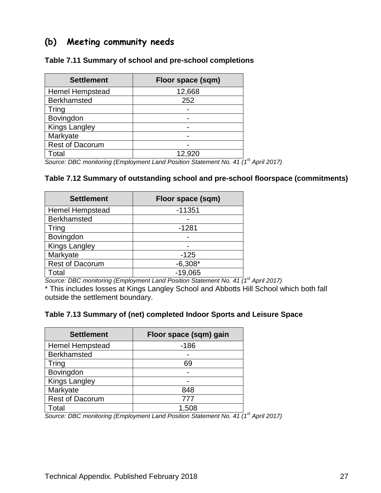### **(b) Meeting community needs**

#### **Table 7.11 Summary of school and pre-school completions**

| <b>Settlement</b>      | Floor space (sqm) |  |  |  |  |
|------------------------|-------------------|--|--|--|--|
| <b>Hemel Hempstead</b> | 12,668            |  |  |  |  |
| <b>Berkhamsted</b>     | 252               |  |  |  |  |
| <b>Tring</b>           |                   |  |  |  |  |
| Bovingdon              |                   |  |  |  |  |
| <b>Kings Langley</b>   |                   |  |  |  |  |
| Markyate               |                   |  |  |  |  |
| <b>Rest of Dacorum</b> |                   |  |  |  |  |
| Total                  | 12,920            |  |  |  |  |

*Source: DBC monitoring (Employment Land Position Statement No. 41 (1st April 2017)*

#### **Table 7.12 Summary of outstanding school and pre-school floorspace (commitments)**

| <b>Settlement</b>      | Floor space (sqm) |  |  |  |  |
|------------------------|-------------------|--|--|--|--|
| <b>Hemel Hempstead</b> | $-11351$          |  |  |  |  |
| <b>Berkhamsted</b>     |                   |  |  |  |  |
| Tring                  | $-1281$           |  |  |  |  |
| Bovingdon              |                   |  |  |  |  |
| <b>Kings Langley</b>   |                   |  |  |  |  |
| Markyate               | $-125$            |  |  |  |  |
| <b>Rest of Dacorum</b> | $-6,308*$         |  |  |  |  |
| Total                  | $-19,065$         |  |  |  |  |

*Source: DBC monitoring (Employment Land Position Statement No. 41 (1st April 2017)*

\* This includes losses at Kings Langley School and Abbotts Hill School which both fall outside the settlement boundary.

#### **Table 7.13 Summary of (net) completed Indoor Sports and Leisure Space**

| <b>Settlement</b>      | Floor space (sqm) gain |
|------------------------|------------------------|
| <b>Hemel Hempstead</b> | $-186$                 |
| <b>Berkhamsted</b>     |                        |
| <b>Tring</b>           | 69                     |
| Bovingdon              |                        |
| <b>Kings Langley</b>   |                        |
| Markyate               | 848                    |
| <b>Rest of Dacorum</b> | 777                    |
| Total                  | 1.508                  |

*Source: DBC monitoring (Employment Land Position Statement No. 41 (1st April 2017)*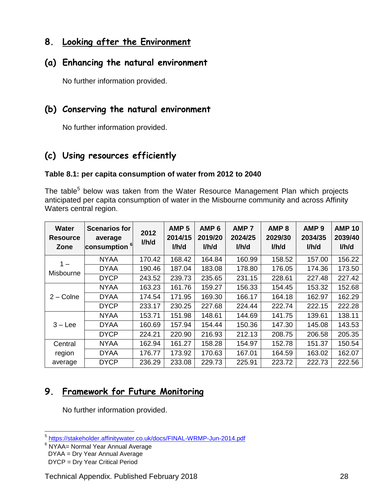## **8. Looking after the Environment**

#### **(a) Enhancing the natural environment**

No further information provided.

## **(b) Conserving the natural environment**

No further information provided.

# **(c) Using resources efficiently**

#### **Table 8.1: per capita consumption of water from 2012 to 2040**

The table<sup>5</sup> below was taken from the Water Resource Management Plan which projects anticipated per capita consumption of water in the Misbourne community and across Affinity Waters central region.

| <b>Water</b><br><b>Resource</b><br>Zone | <b>Scenarios for</b><br>average<br>consumption <sup>6</sup> | 2012<br>I/h/d | AMP <sub>5</sub><br>2014/15<br>I/h/d | AMP <sub>6</sub><br>2019/20<br>I/h/d | AMP <sub>7</sub><br>2024/25<br>I/h/d | AMP <sub>8</sub><br>2029/30<br>I/h/d | AMP <sub>9</sub><br>2034/35<br>I/h/d | <b>AMP 10</b><br>2039/40<br>I/h/d |
|-----------------------------------------|-------------------------------------------------------------|---------------|--------------------------------------|--------------------------------------|--------------------------------------|--------------------------------------|--------------------------------------|-----------------------------------|
| $1 -$<br>Misbourne                      | <b>NYAA</b>                                                 | 170.42        | 168.42                               | 164.84                               | 160.99                               | 158.52                               | 157.00                               | 156.22                            |
|                                         | <b>DYAA</b>                                                 | 190.46        | 187.04                               | 183.08                               | 178.80                               | 176.05                               | 174.36                               | 173.50                            |
|                                         | <b>DYCP</b>                                                 | 243.52        | 239.73                               | 235.65                               | 231.15                               | 228.61                               | 227.48                               | 227.42                            |
| $2 - \text{Colne}$                      | <b>NYAA</b>                                                 | 163.23        | 161.76                               | 159.27                               | 156.33                               | 154.45                               | 153.32                               | 152.68                            |
|                                         | <b>DYAA</b>                                                 | 174.54        | 171.95                               | 169.30                               | 166.17                               | 164.18                               | 162.97                               | 162.29                            |
|                                         | <b>DYCP</b>                                                 | 233.17        | 230.25                               | 227.68                               | 224.44                               | 222.74                               | 222.15                               | 222.28                            |
| $3 - Lee$                               | <b>NYAA</b>                                                 | 153.71        | 151.98                               | 148.61                               | 144.69                               | 141.75                               | 139.61                               | 138.11                            |
|                                         | <b>DYAA</b>                                                 | 160.69        | 157.94                               | 154.44                               | 150.36                               | 147.30                               | 145.08                               | 143.53                            |
|                                         | <b>DYCP</b>                                                 | 224.21        | 220.90                               | 216.93                               | 212.13                               | 208.75                               | 206.58                               | 205.35                            |
| Central                                 | <b>NYAA</b>                                                 | 162.94        | 161.27                               | 158.28                               | 154.97                               | 152.78                               | 151.37                               | 150.54                            |
| region                                  | <b>DYAA</b>                                                 | 176.77        | 173.92                               | 170.63                               | 167.01                               | 164.59                               | 163.02                               | 162.07                            |
| average                                 | <b>DYCP</b>                                                 | 236.29        | 233.08                               | 229.73                               | 225.91                               | 223.72                               | 222.73                               | 222.56                            |

# **9. Framework for Future Monitoring**

- DYAA = Dry Year Annual Average
- DYCP = Dry Year Critical Period

 5 <https://stakeholder.affinitywater.co.uk/docs/FINAL-WRMP-Jun-2014.pdf>

<sup>&</sup>lt;sup>6</sup> NYAA= Normal Year Annual Average